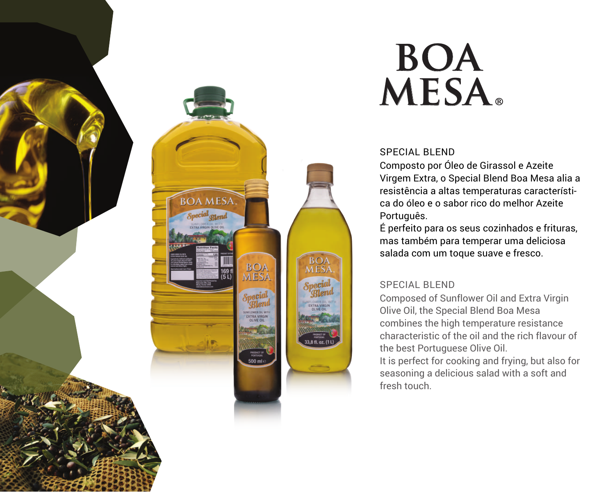

# **boa mesa®**

#### SPECIAL BLEND

Composto por Óleo de Girassol e Azeite Virgem Extra, o Special Blend Boa Mesa alia a resistência a altas temperaturas característica do óleo e o sabor rico do melhor Azeite Português.

É perfeito para os seus cozinhados e frituras, mas também para temperar uma deliciosa salada com um toque suave e fresco.

### SPECIAL BLEND

**BOA**<br>MESA

Composed of Sunflower Oil and Extra Virgin Olive Oil, the Special Blend Boa Mesa combines the high temperature resistance characteristic of the oil and the rich flavour of the best Portuguese Olive Oil.

It is perfect for cooking and frying, but also for seasoning a delicious salad with a soft and fresh touch.